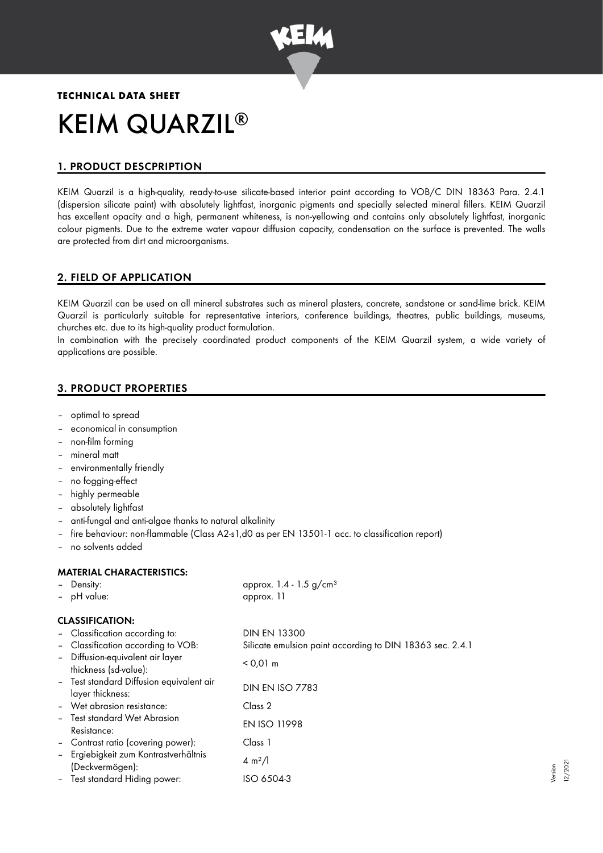

# **TECHNICAL DATA SHEET** KEIM QUARZIL ®

# 1. PRODUCT DESCPRIPTION

KEIM Quarzil is a high-quality, ready-to-use silicate-based interior paint according to VOB/C DIN 18363 Para. 2.4.1 (dispersion silicate paint) with absolutely lightfast, inorganic pigments and specially selected mineral fillers. KEIM Quarzil has excellent opacity and a high, permanent whiteness, is non-yellowing and contains only absolutely lightfast, inorganic colour pigments. Due to the extreme water vapour diffusion capacity, condensation on the surface is prevented. The walls are protected from dirt and microorganisms.

# 2. FIELD OF APPLICATION

KEIM Quarzil can be used on all mineral substrates such as mineral plasters, concrete, sandstone or sand-lime brick. KEIM Quarzil is particularly suitable for representative interiors, conference buildings, theatres, public buildings, museums, churches etc. due to its high-quality product formulation.

In combination with the precisely coordinated product components of the KEIM Quarzil system, a wide variety of applications are possible.

# 3. PRODUCT PROPERTIES

- optimal to spread
- economical in consumption
- non-film forming
- mineral matt
- environmentally friendly
- no fogging-effect
- highly permeable
- absolutely lightfast
- anti-fungal and anti-algae thanks to natural alkalinity
- fire behaviour: non-flammable (Class A2-s1,d0 as per EN 13501-1 acc. to classification report)
- no solvents added

## MATERIAL CHARACTERISTICS:

| - Density:                                                   | approx. $1.4 - 1.5$ g/cm <sup>3</sup>                     |
|--------------------------------------------------------------|-----------------------------------------------------------|
| - pH value:                                                  | approx. 11                                                |
| <b>CLASSIFICATION:</b>                                       |                                                           |
| - Classification according to:                               | <b>DIN EN 13300</b>                                       |
| - Classification according to VOB:                           | Silicate emulsion paint according to DIN 18363 sec. 2.4.1 |
| - Diffusion-equivalent air layer<br>thickness (sd-value):    | $< 0.01 \text{ m}$                                        |
| - Test standard Diffusion equivalent air<br>layer thickness: | <b>DIN EN ISO 7783</b>                                    |
| - Wet abrasion resistance:                                   | Class 2                                                   |
| - Test standard Wet Abrasion<br>Resistance:                  | <b>EN ISO 11998</b>                                       |
| - Contrast ratio (covering power):                           | Class 1                                                   |
| - Ergiebigkeit zum Kontrastverhältnis<br>(Deckvermögen):     | $4 \, \text{m}^2$ /                                       |
| - Test standard Hiding power:                                | ISO 6504-3                                                |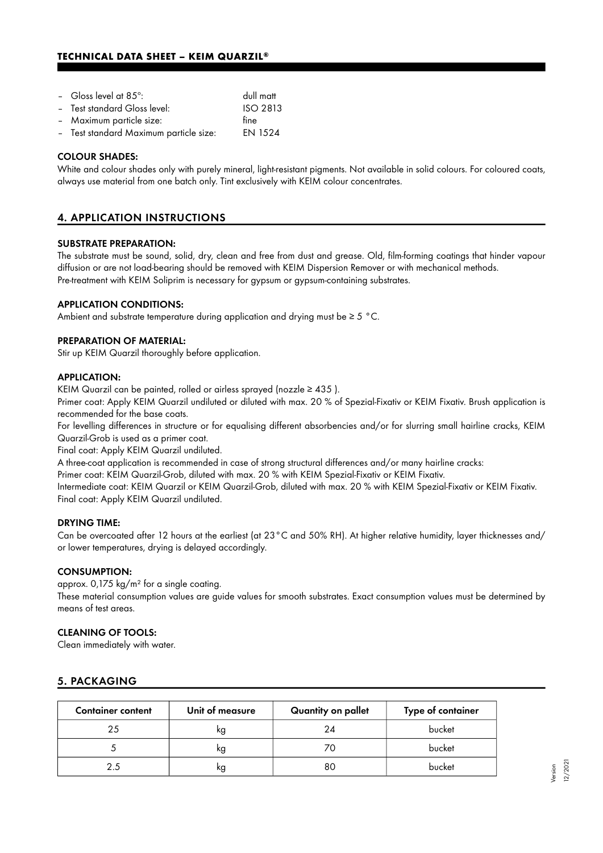## **TECHNICAL DATA SHEET – KEIM QUARZIL®**

| - Gloss level at $85^\circ$ :          | dull matt      |
|----------------------------------------|----------------|
| - Test standard Gloss level:           | ISO 2813       |
| - Maximum particle size:               | fine           |
| - Test standard Maximum particle size: | <b>EN 1524</b> |
|                                        |                |

#### COLOUR SHADES:

White and colour shades only with purely mineral, light-resistant pigments. Not available in solid colours. For coloured coats, always use material from one batch only. Tint exclusively with KEIM colour concentrates.

# 4. APPLICATION INSTRUCTIONS

#### SUBSTRATE PREPARATION:

The substrate must be sound, solid, dry, clean and free from dust and grease. Old, film-forming coatings that hinder vapour diffusion or are not load-bearing should be removed with KEIM Dispersion Remover or with mechanical methods. Pre-treatment with KEIM Soliprim is necessary for gypsum or gypsum-containing substrates.

#### APPLICATION CONDITIONS:

Ambient and substrate temperature during application and drying must be ≥ 5 °C.

#### PREPARATION OF MATERIAL:

Stir up KEIM Quarzil thoroughly before application.

#### APPLICATION:

KEIM Quarzil can be painted, rolled or airless sprayed (nozzle  $\geq 435$ ).

Primer coat: Apply KEIM Quarzil undiluted or diluted with max. 20 % of Spezial-Fixativ or KEIM Fixativ. Brush application is recommended for the base coats.

For levelling differences in structure or for equalising different absorbencies and/or for slurring small hairline cracks, KEIM Quarzil-Grob is used as a primer coat.

Final coat: Apply KEIM Quarzil undiluted.

A three-coat application is recommended in case of strong structural differences and/or many hairline cracks:

Primer coat: KEIM Quarzil-Grob, diluted with max. 20 % with KEIM Spezial-Fixativ or KEIM Fixativ.

Intermediate coat: KEIM Quarzil or KEIM Quarzil-Grob, diluted with max. 20 % with KEIM Spezial-Fixativ or KEIM Fixativ. Final coat: Apply KEIM Quarzil undiluted.

#### DRYING TIME:

Can be overcoated after 12 hours at the earliest (at 23°C and 50% RH). At higher relative humidity, layer thicknesses and/ or lower temperatures, drying is delayed accordingly.

#### CONSUMPTION:

approx. 0,175 kg/m² for a single coating.

These material consumption values are guide values for smooth substrates. Exact consumption values must be determined by means of test areas.

#### CLEANING OF TOOLS:

Clean immediately with water.

## 5. PACKAGING

| <b>Container content</b> | Unit of measure | Quantity on pallet | Type of container |
|--------------------------|-----------------|--------------------|-------------------|
| 25                       | κg              | 24                 | bucket            |
|                          | κg              |                    | bucket            |
| 25                       | κg              | 80                 | bucket            |